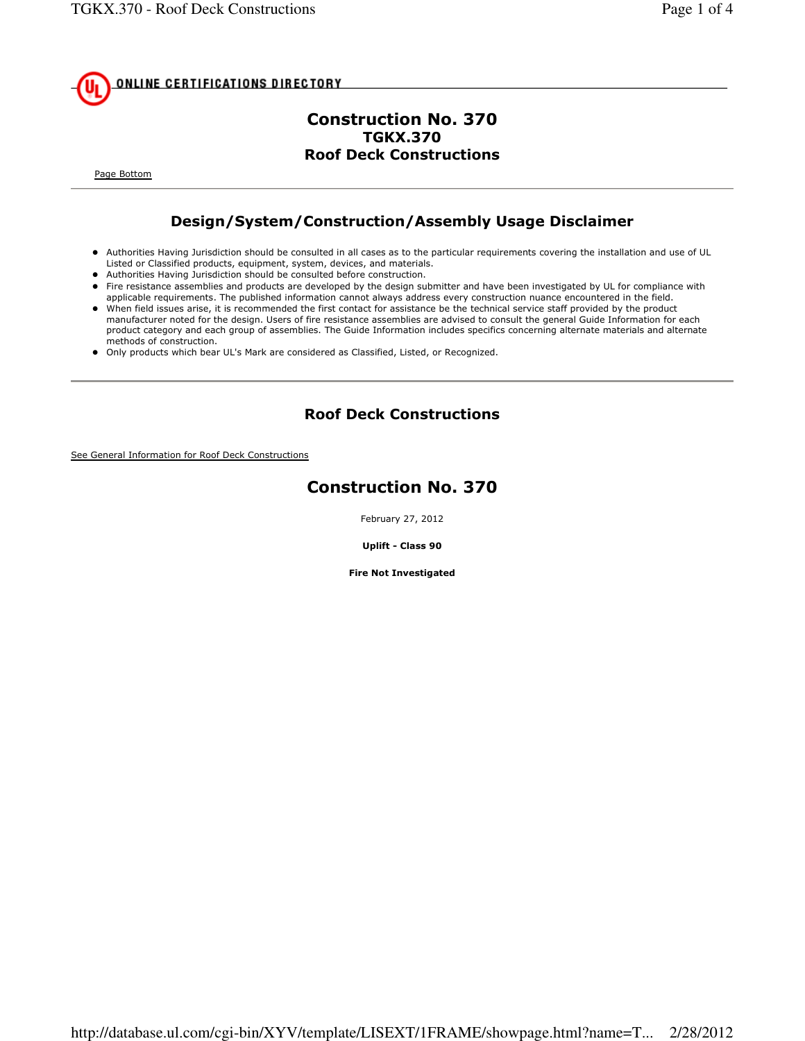

## Construction No. 370 TGKX.370 Roof Deck Constructions

Page Bottom

## Design/System/Construction/Assembly Usage Disclaimer

- Authorities Having Jurisdiction should be consulted in all cases as to the particular requirements covering the installation and use of UL Listed or Classified products, equipment, system, devices, and materials.
- Authorities Having Jurisdiction should be consulted before construction.
- Fire resistance assemblies and products are developed by the design submitter and have been investigated by UL for compliance with applicable requirements. The published information cannot always address every construction nuance encountered in the field.
- When field issues arise, it is recommended the first contact for assistance be the technical service staff provided by the product manufacturer noted for the design. Users of fire resistance assemblies are advised to consult the general Guide Information for each product category and each group of assemblies. The Guide Information includes specifics concerning alternate materials and alternate methods of construction.
- Only products which bear UL's Mark are considered as Classified, Listed, or Recognized.

## Roof Deck Constructions

See General Information for Roof Deck Constructions

## Construction No. 370

February 27, 2012

Uplift - Class 90

Fire Not Investigated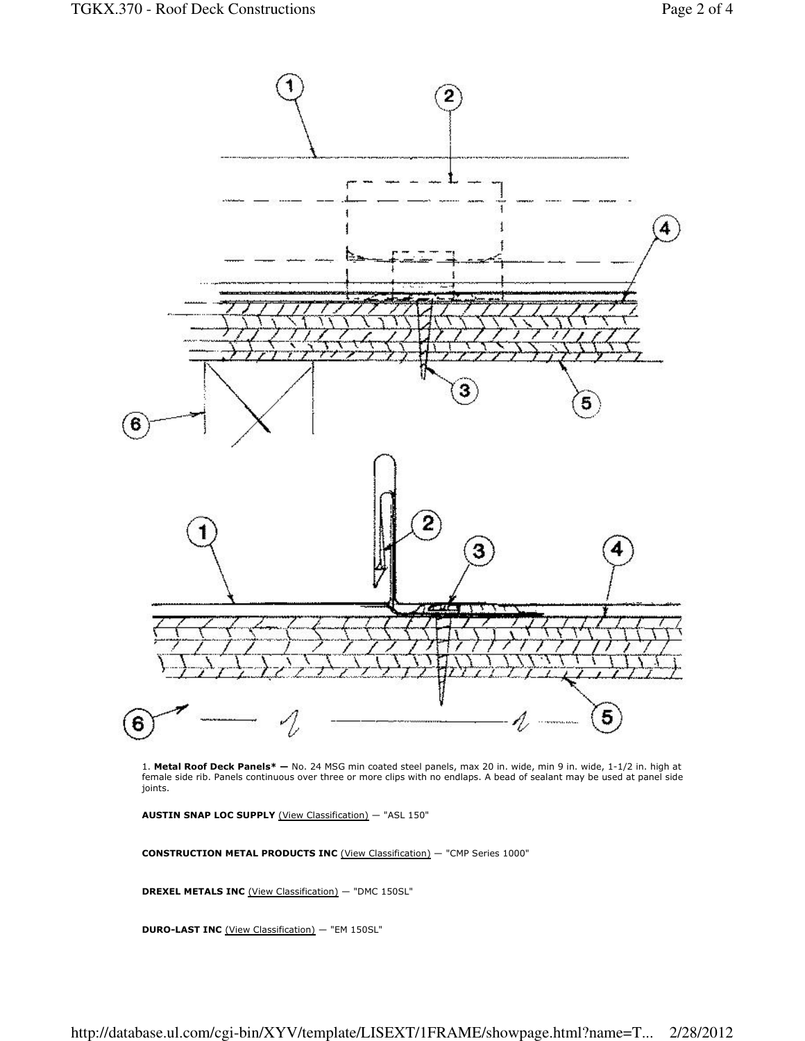

1. Metal Roof Deck Panels\* - No. 24 MSG min coated steel panels, max 20 in. wide, min 9 in. wide, 1-1/2 in. high at female side rib. Panels continuous over three or more clips with no endlaps. A bead of sealant may be used at panel side joints.

AUSTIN SNAP LOC SUPPLY (View Classification) — "ASL 150"

CONSTRUCTION METAL PRODUCTS INC (View Classification) — "CMP Series 1000"

DREXEL METALS INC (View Classification) — "DMC 150SL"

DURO-LAST INC (View Classification) — "EM 150SL"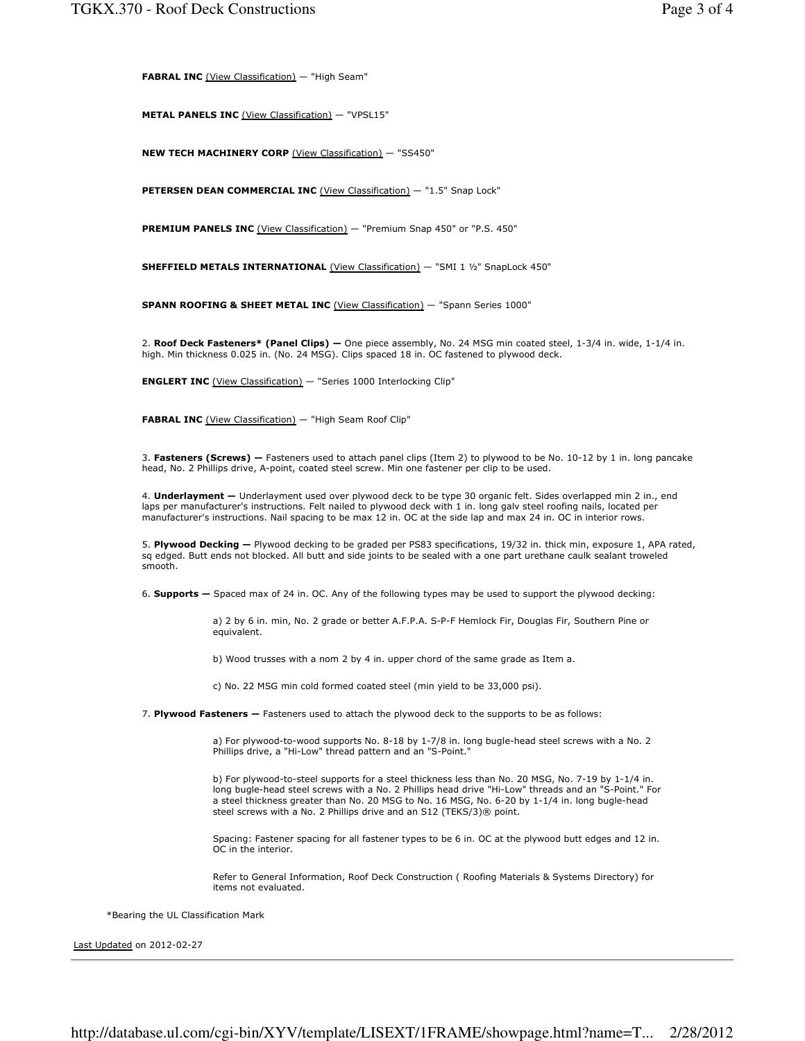FABRAL INC (View Classification) — "High Seam"

METAL PANELS INC (View Classification) - "VPSL15"

NEW TECH MACHINERY CORP (View Classification) - "SS450"

PETERSEN DEAN COMMERCIAL INC (View Classification) - "1.5" Snap Lock"

PREMIUM PANELS INC (View Classification) - "Premium Snap 450" or "P.S. 450"

SHEFFIELD METALS INTERNATIONAL (View Classification) - "SMI 1 1/2" SnapLock 450"

SPANN ROOFING & SHEET METAL INC (View Classification) - "Spann Series 1000"

2. Roof Deck Fasteners\* (Panel Clips) — One piece assembly, No. 24 MSG min coated steel, 1-3/4 in. wide, 1-1/4 in. high. Min thickness 0.025 in. (No. 24 MSG). Clips spaced 18 in. OC fastened to plywood deck.

ENGLERT INC (View Classification) — "Series 1000 Interlocking Clip"

FABRAL INC (View Classification) - "High Seam Roof Clip"

3. Fasteners (Screws)  $-$  Fasteners used to attach panel clips (Item 2) to plywood to be No. 10-12 by 1 in. long pancake head, No. 2 Phillips drive, A-point, coated steel screw. Min one fastener per clip to be used.

4. Underlayment - Underlayment used over plywood deck to be type 30 organic felt. Sides overlapped min 2 in., end laps per manufacturer's instructions. Felt nailed to plywood deck with 1 in. long galv steel roofing nails, located per manufacturer's instructions. Nail spacing to be max 12 in. OC at the side lap and max 24 in. OC in interior rows.

5. Plywood Decking - Plywood decking to be graded per PS83 specifications, 19/32 in. thick min, exposure 1, APA rated, sq edged. Butt ends not blocked. All butt and side joints to be sealed with a one part urethane caulk sealant troweled smooth.

6. Supports — Spaced max of 24 in. OC. Any of the following types may be used to support the plywood decking:

a) 2 by 6 in. min, No. 2 grade or better A.F.P.A. S-P-F Hemlock Fir, Douglas Fir, Southern Pine or equivalent.

b) Wood trusses with a nom 2 by 4 in. upper chord of the same grade as Item a.

c) No. 22 MSG min cold formed coated steel (min yield to be 33,000 psi).

7. Plywood Fasteners - Fasteners used to attach the plywood deck to the supports to be as follows:

a) For plywood-to-wood supports No. 8-18 by 1-7/8 in. long bugle-head steel screws with a No. 2 Phillips drive, a "Hi-Low" thread pattern and an "S-Point."

b) For plywood-to-steel supports for a steel thickness less than No. 20 MSG, No. 7-19 by 1-1/4 in. long bugle-head steel screws with a No. 2 Phillips head drive "Hi-Low" threads and an "S-Point." For a steel thickness greater than No. 20 MSG to No. 16 MSG, No. 6-20 by 1-1/4 in. long bugle-head steel screws with a No. 2 Phillips drive and an S12 (TEKS/3)® point.

Spacing: Fastener spacing for all fastener types to be 6 in. OC at the plywood butt edges and 12 in. OC in the interior.

Refer to General Information, Roof Deck Construction ( Roofing Materials & Systems Directory) for items not evaluated.

\*Bearing the UL Classification Mark

Last Updated on 2012-02-27